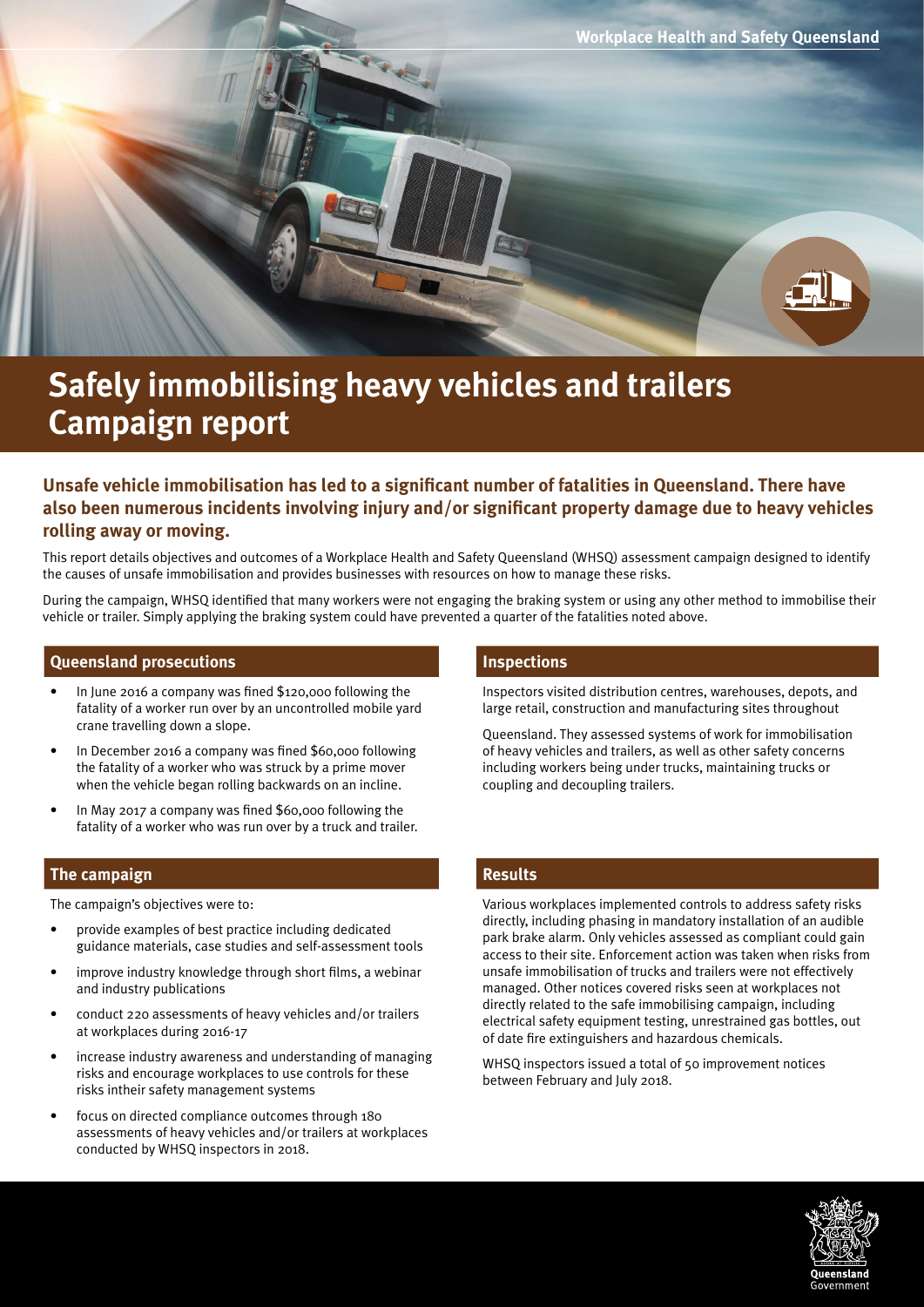

# **Safely immobilising heavy vehicles and trailers Campaign report**

# **Unsafe vehicle immobilisation has led to a significant number of fatalities in Queensland. There have also been numerous incidents involving injury and/or significant property damage due to heavy vehicles rolling away or moving.**

This report details objectives and outcomes of a Workplace Health and Safety Queensland (WHSQ) assessment campaign designed to identify the causes of unsafe immobilisation and provides businesses with resources on how to manage these risks.

During the campaign, WHSQ identified that many workers were not engaging the braking system or using any other method to immobilise their vehicle or trailer. Simply applying the braking system could have prevented a quarter of the fatalities noted above.

#### **Queensland prosecutions Inspections**

- In June 2016 a company was fined \$120,000 following the fatality of a worker run over by an uncontrolled mobile yard crane travelling down a slope.
- In December 2016 a company was fined \$60,000 following the fatality of a worker who was struck by a prime mover when the vehicle began rolling backwards on an incline.
- In May 2017 a company was fined \$60,000 following the fatality of a worker who was run over by a truck and trailer.

#### **The campaign Results**

The campaign's objectives were to:

- provide examples of best practice including dedicated guidance materials, case studies and self-assessment tools
- improve industry knowledge through short films, a webinar and industry publications
- conduct 220 assessments of heavy vehicles and/or trailers at workplaces during 2016-17
- increase industry awareness and understanding of managing risks and encourage workplaces to use controls for these risks intheir safety management systems
- focus on directed compliance outcomes through 180 assessments of heavy vehicles and/or trailers at workplaces conducted by WHSQ inspectors in 2018.

Inspectors visited distribution centres, warehouses, depots, and large retail, construction and manufacturing sites throughout

Queensland. They assessed systems of work for immobilisation of heavy vehicles and trailers, as well as other safety concerns including workers being under trucks, maintaining trucks or coupling and decoupling trailers.

Various workplaces implemented controls to address safety risks directly, including phasing in mandatory installation of an audible park brake alarm. Only vehicles assessed as compliant could gain access to their site. Enforcement action was taken when risks from unsafe immobilisation of trucks and trailers were not effectively managed. Other notices covered risks seen at workplaces not directly related to the safe immobilising campaign, including electrical safety equipment testing, unrestrained gas bottles, out of date fire extinguishers and hazardous chemicals.

WHSO inspectors issued a total of 50 improvement notices between February and July 2018.